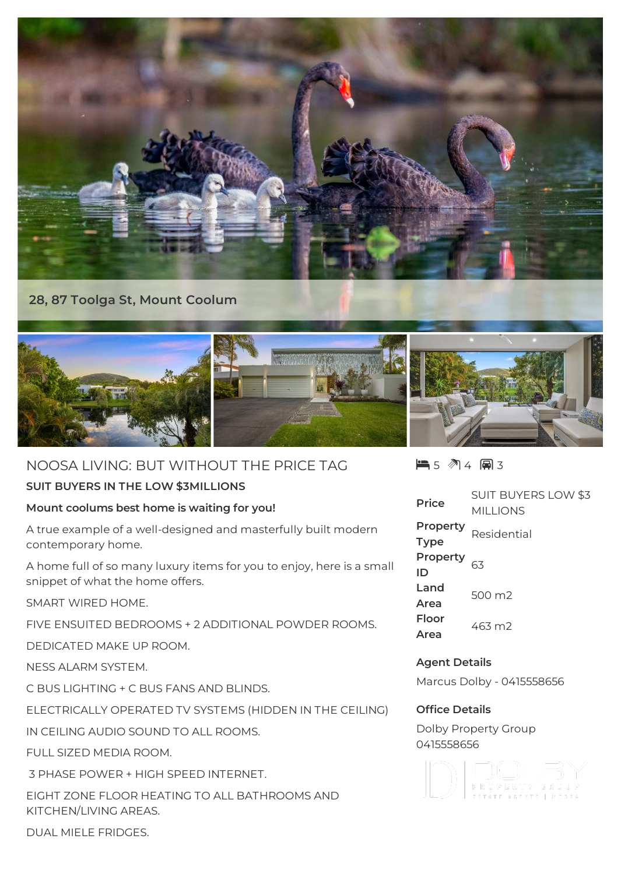

## **28, 87 Toolga St, Mount Coolum**



# NOOSA LIVING: BUT WITHOUT THE PRICE TAG

## **SUIT BUYERS IN THE LOW \$3MILLIONS**

## **Mount coolums best home is waiting for you!**

A true example of a well-designed and masterfully built modern contemporary home.

A home full of so many luxury items for you to enjoy, here is a small snippet of what the home offers.

SMART WIRED HOME.

FIVE ENSUITED BEDROOMS + 2 ADDITIONAL POWDER ROOMS.

DEDICATED MAKE UP ROOM.

NESS ALARM SYSTEM.

C BUS LIGHTING + C BUS FANS AND BLINDS.

ELECTRICALLY OPERATED TV SYSTEMS (HIDDEN IN THE CEILING)

IN CEILING AUDIO SOUND TO ALL ROOMS.

FULL SIZED MEDIA ROOM.

3 PHASE POWER + HIGH SPEED INTERNET.

EIGHT ZONE FLOOR HEATING TO ALL BATHROOMS AND KITCHEN/LIVING AREAS.

 $\blacksquare$  5  $\blacksquare$  4  $\blacksquare$  3

**Price** SUIT BUYERS LOW \$3 MILLIONS **Property Type Residential Property ID** 63 **Land Area** 500 m2 **Floor Area** 463 m2

## **Agent Details**

Marcus Dolby - 0415558656

#### **Office Details**

Dolby Property Group 0415558656



DUAL MIELE FRIDGES.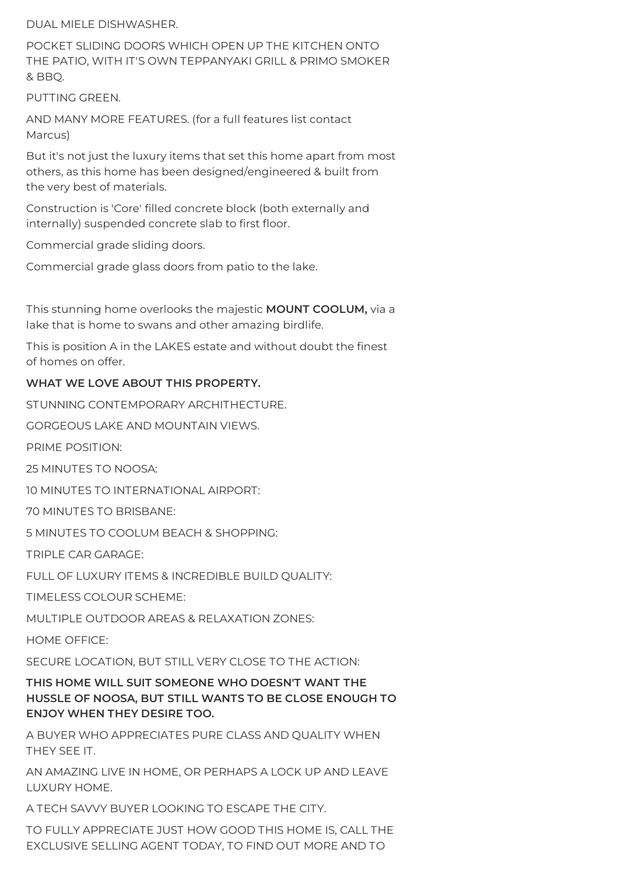DUAL MIELE DISHWASHER.

POCKET SLIDING DOORS WHICH OPEN UP THE KITCHEN ONTO THE PATIO, WITH IT'S OWN TEPPANYAKI GRILL & PRIMO SMOKER & BBQ.

PUTTING GREEN.

AND MANY MORE FEATURES. (for a full features list contact Marcus)

But it's not just the luxury items that set this home apart from most others, as this home has been designed/engineered & built from the very best of materials.

Construction is 'Core' filled concrete block (both externally and internally) suspended concrete slab to first floor.

Commercial grade sliding doors.

Commercial grade glass doors from patio to the lake.

This stunning home overlooks the majestic **MOUNT COOLUM,** via a lake that is home to swans and other amazing birdlife.

This is position A in the LAKES estate and without doubt the finest of homes on offer.

#### **WHAT WE LOVE ABOUT THIS PROPERTY.**

STUNNING CONTEMPORARY ARCHITHECTURE.

GORGEOUS LAKE AND MOUNTAIN VIEWS.

PRIME POSITION:

25 MINUTES TO NOOSA:

10 MINUTES TO INTERNATIONAL AIRPORT:

70 MINUTES TO BRISBANE:

5 MINUTES TO COOLUM BEACH & SHOPPING:

TRIPLE CAR GARAGE:

FULL OF LUXURY ITEMS & INCREDIBLE BUILD QUALITY:

TIMELESS COLOUR SCHEME:

MULTIPLE OUTDOOR AREAS & RELAXATION ZONES:

HOME OFFICE:

SECURE LOCATION, BUT STILL VERY CLOSE TO THE ACTION:

**THIS HOME WILL SUIT SOMEONE WHO DOESN'T WANT THE HUSSLE OF NOOSA, BUT STILL WANTS TO BE CLOSE ENOUGH TO ENJOY WHEN THEY DESIRE TOO.**

A BUYER WHO APPRECIATES PURE CLASS AND QUALITY WHEN THEY SEE IT.

AN AMAZING LIVE IN HOME, OR PERHAPS A LOCK UP AND LEAVE LUXURY HOME.

A TECH SAVVY BUYER LOOKING TO ESCAPE THE CITY.

TO FULLY APPRECIATE JUST HOW GOOD THIS HOME IS, CALL THE EXCLUSIVE SELLING AGENT TODAY, TO FIND OUT MORE AND TO